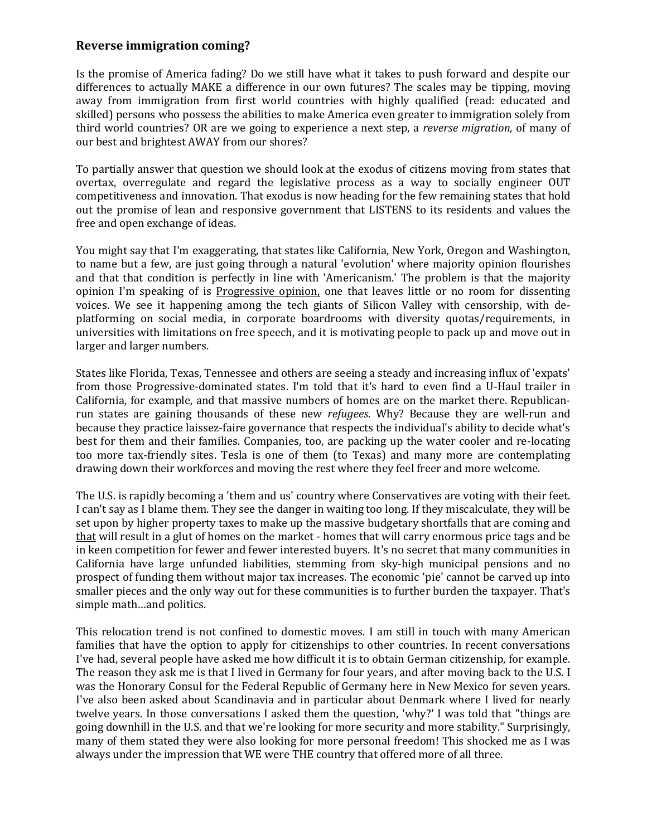## **Reverse immigration coming?**

Is the promise of America fading? Do we still have what it takes to push forward and despite our differences to actually MAKE a difference in our own futures? The scales may be tipping, moving away from immigration from first world countries with highly qualified (read: educated and skilled) persons who possess the abilities to make America even greater to immigration solely from third world countries? OR are we going to experience a next step, a *reverse migration*, of many of our best and brightest AWAY from our shores?

To partially answer that question we should look at the exodus of citizens moving from states that overtax, overregulate and regard the legislative process as a way to socially engineer OUT competitiveness and innovation. That exodus is now heading for the few remaining states that hold out the promise of lean and responsive government that LISTENS to its residents and values the free and open exchange of ideas.

You might say that I'm exaggerating, that states like California, New York, Oregon and Washington, to name but a few, are just going through a natural 'evolution' where majority opinion flourishes and that that condition is perfectly in line with 'Americanism.' The problem is that the majority opinion I'm speaking of is Progressive opinion, one that leaves little or no room for dissenting voices. We see it happening among the tech giants of Silicon Valley with censorship, with deplatforming on social media, in corporate boardrooms with diversity quotas/requirements, in universities with limitations on free speech, and it is motivating people to pack up and move out in larger and larger numbers.

States like Florida, Texas, Tennessee and others are seeing a steady and increasing influx of 'expats' from those Progressive-dominated states. I'm told that it's hard to even find a U-Haul trailer in California, for example, and that massive numbers of homes are on the market there. Republicanrun states are gaining thousands of these new *refugees*. Why? Because they are well-run and because they practice laissez-faire governance that respects the individual's ability to decide what's best for them and their families. Companies, too, are packing up the water cooler and re-locating too more tax-friendly sites. Tesla is one of them (to Texas) and many more are contemplating drawing down their workforces and moving the rest where they feel freer and more welcome.

The U.S. is rapidly becoming a 'them and us' country where Conservatives are voting with their feet. I can't say as I blame them. They see the danger in waiting too long. If they miscalculate, they will be set upon by higher property taxes to make up the massive budgetary shortfalls that are coming and that will result in a glut of homes on the market - homes that will carry enormous price tags and be in keen competition for fewer and fewer interested buyers. It's no secret that many communities in California have large unfunded liabilities, stemming from sky-high municipal pensions and no prospect of funding them without major tax increases. The economic 'pie' cannot be carved up into smaller pieces and the only way out for these communities is to further burden the taxpayer. That's simple math…and politics.

This relocation trend is not confined to domestic moves. I am still in touch with many American families that have the option to apply for citizenships to other countries. In recent conversations I've had, several people have asked me how difficult it is to obtain German citizenship, for example. The reason they ask me is that I lived in Germany for four years, and after moving back to the U.S. I was the Honorary Consul for the Federal Republic of Germany here in New Mexico for seven years. I've also been asked about Scandinavia and in particular about Denmark where I lived for nearly twelve years. In those conversations I asked them the question, 'why?' I was told that "things are going downhill in the U.S. and that we're looking for more security and more stability." Surprisingly, many of them stated they were also looking for more personal freedom! This shocked me as I was always under the impression that WE were THE country that offered more of all three.